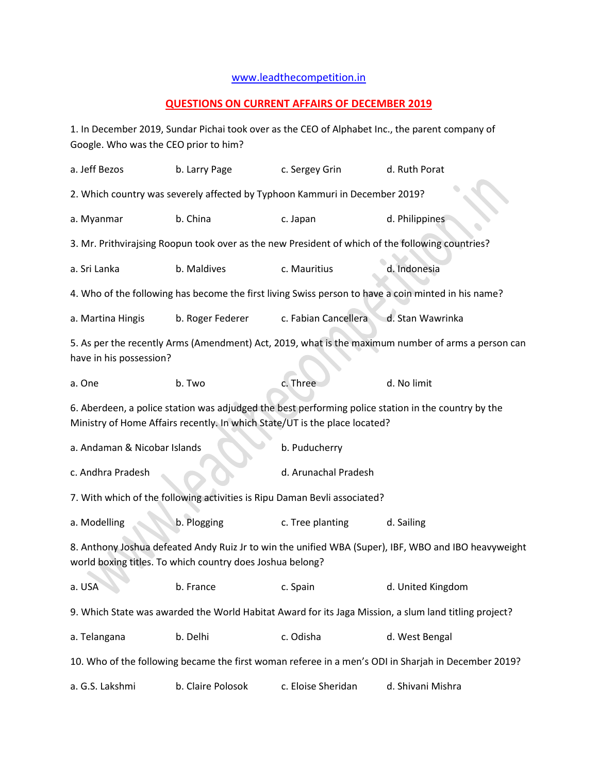## [www.leadthecompetition.in](http://www.leadthecompetition.in/)

## **QUESTIONS ON CURRENT AFFAIRS OF DECEMBER 2019**

1. In December 2019, Sundar Pichai took over as the CEO of Alphabet Inc., the parent company of Google. Who was the CEO prior to him?

| a. Jeff Bezos                                                                                                                                                                     | b. Larry Page     | c. Sergey Grin                                                                                   | d. Ruth Porat     |  |  |  |  |
|-----------------------------------------------------------------------------------------------------------------------------------------------------------------------------------|-------------------|--------------------------------------------------------------------------------------------------|-------------------|--|--|--|--|
| 2. Which country was severely affected by Typhoon Kammuri in December 2019?                                                                                                       |                   |                                                                                                  |                   |  |  |  |  |
| a. Myanmar                                                                                                                                                                        | b. China          | c. Japan                                                                                         | d. Philippines    |  |  |  |  |
|                                                                                                                                                                                   |                   | 3. Mr. Prithvirajsing Roopun took over as the new President of which of the following countries? |                   |  |  |  |  |
| a. Sri Lanka                                                                                                                                                                      | b. Maldives       | c. Mauritius                                                                                     | d. Indonesia      |  |  |  |  |
| 4. Who of the following has become the first living Swiss person to have a coin minted in his name?                                                                               |                   |                                                                                                  |                   |  |  |  |  |
| a. Martina Hingis                                                                                                                                                                 | b. Roger Federer  | c. Fabian Cancellera                                                                             | d. Stan Wawrinka  |  |  |  |  |
| 5. As per the recently Arms (Amendment) Act, 2019, what is the maximum number of arms a person can<br>have in his possession?                                                     |                   |                                                                                                  |                   |  |  |  |  |
| a. One                                                                                                                                                                            | b. Two            | c. Three                                                                                         | d. No limit       |  |  |  |  |
| 6. Aberdeen, a police station was adjudged the best performing police station in the country by the<br>Ministry of Home Affairs recently. In which State/UT is the place located? |                   |                                                                                                  |                   |  |  |  |  |
| a. Andaman & Nicobar Islands                                                                                                                                                      |                   | b. Puducherry                                                                                    |                   |  |  |  |  |
| c. Andhra Pradesh                                                                                                                                                                 |                   | d. Arunachal Pradesh                                                                             |                   |  |  |  |  |
| 7. With which of the following activities is Ripu Daman Bevli associated?                                                                                                         |                   |                                                                                                  |                   |  |  |  |  |
| a. Modelling                                                                                                                                                                      | b. Plogging       | c. Tree planting                                                                                 | d. Sailing        |  |  |  |  |
| 8. Anthony Joshua defeated Andy Ruiz Jr to win the unified WBA (Super), IBF, WBO and IBO heavyweight<br>world boxing titles. To which country does Joshua belong?                 |                   |                                                                                                  |                   |  |  |  |  |
| a. USA                                                                                                                                                                            | b. France         | c. Spain                                                                                         | d. United Kingdom |  |  |  |  |
| 9. Which State was awarded the World Habitat Award for its Jaga Mission, a slum land titling project?                                                                             |                   |                                                                                                  |                   |  |  |  |  |
| a. Telangana                                                                                                                                                                      | b. Delhi          | c. Odisha                                                                                        | d. West Bengal    |  |  |  |  |
| 10. Who of the following became the first woman referee in a men's ODI in Sharjah in December 2019?                                                                               |                   |                                                                                                  |                   |  |  |  |  |
| a. G.S. Lakshmi                                                                                                                                                                   | b. Claire Polosok | c. Eloise Sheridan                                                                               | d. Shivani Mishra |  |  |  |  |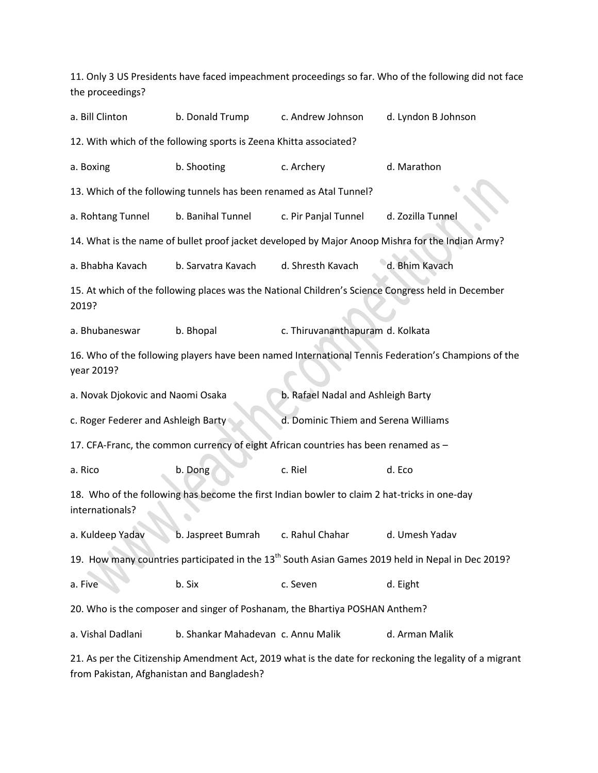11. Only 3 US Presidents have faced impeachment proceedings so far. Who of the following did not face the proceedings? a. Bill Clinton b. Donald Trump c. Andrew Johnson d. Lyndon B Johnson 12. With which of the following sports is Zeena Khitta associated? a. Boxing b. Shooting c. Archery d. Marathon 13. Which of the following tunnels has been renamed as Atal Tunnel? a. Rohtang Tunnel b. Banihal Tunnel c. Pir Panjal Tunnel d. Zozilla Tunnel 14. What is the name of bullet proof jacket developed by Major Anoop Mishra for the Indian Army? a. Bhabha Kavach b. Sarvatra Kavach d. Shresth Kavach d. Bhim Kavach 15. At which of the following places was the National Children's Science Congress held in December 2019? a. Bhubaneswar b. Bhopal c. Thiruvananthapuram d. Kolkata 16. Who of the following players have been named International Tennis Federation's Champions of the year 2019? a. Novak Djokovic and Naomi Osaka b. Rafael Nadal and Ashleigh Barty c. Roger Federer and Ashleigh Barty d. Dominic Thiem and Serena Williams 17. CFA-Franc, the common currency of eight African countries has been renamed as – a. Rico b. Dong c. Riel d. Eco 18. Who of the following has become the first Indian bowler to claim 2 hat-tricks in one-day internationals? a. Kuldeep Yadav b. Jaspreet Bumrah c. Rahul Chahar d. Umesh Yadav 19. How many countries participated in the 13<sup>th</sup> South Asian Games 2019 held in Nepal in Dec 2019? a. Five example and the state of the Six c. Seven b. Six c. Seven and d. Eight 20. Who is the composer and singer of Poshanam, the Bhartiya POSHAN Anthem? a. Vishal Dadlani b. Shankar Mahadevan c. Annu Malik d. Arman Malik 21. As per the Citizenship Amendment Act, 2019 what is the date for reckoning the legality of a migrant

from Pakistan, Afghanistan and Bangladesh?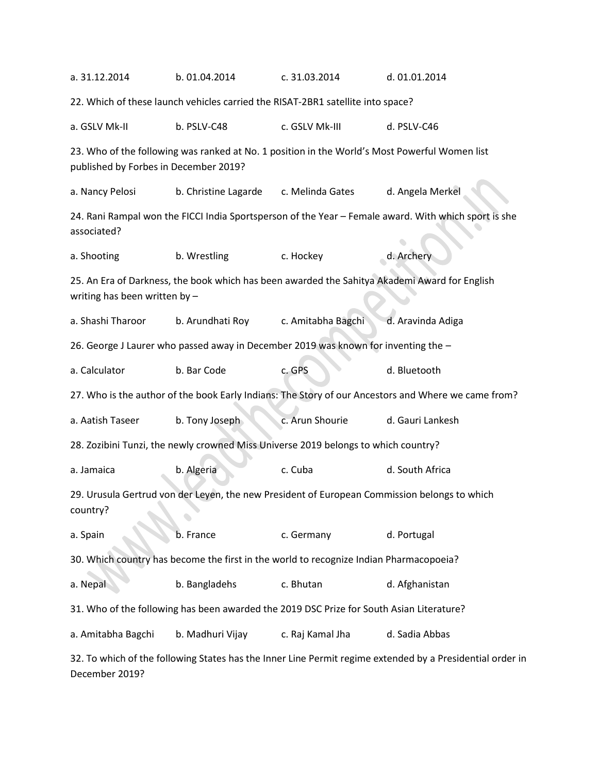| a. 31.12.2014                                                                                                                 | b. 01.04.2014                                                                                                               | c. 31.03.2014                                                                            | d. 01.01.2014                                                                                        |  |  |  |  |
|-------------------------------------------------------------------------------------------------------------------------------|-----------------------------------------------------------------------------------------------------------------------------|------------------------------------------------------------------------------------------|------------------------------------------------------------------------------------------------------|--|--|--|--|
|                                                                                                                               |                                                                                                                             | 22. Which of these launch vehicles carried the RISAT-2BR1 satellite into space?          |                                                                                                      |  |  |  |  |
| a. GSLV Mk-II                                                                                                                 | b. PSLV-C48                                                                                                                 | c. GSLV Mk-III                                                                           | d. PSLV-C46                                                                                          |  |  |  |  |
| published by Forbes in December 2019?                                                                                         |                                                                                                                             |                                                                                          | 23. Who of the following was ranked at No. 1 position in the World's Most Powerful Women list        |  |  |  |  |
| a. Nancy Pelosi                                                                                                               | b. Christine Lagarde                                                                                                        | c. Melinda Gates                                                                         | d. Angela Merkel                                                                                     |  |  |  |  |
| associated?                                                                                                                   |                                                                                                                             |                                                                                          | 24. Rani Rampal won the FICCI India Sportsperson of the Year - Female award. With which sport is she |  |  |  |  |
| a. Shooting                                                                                                                   | b. Wrestling                                                                                                                | c. Hockey                                                                                | d. Archery                                                                                           |  |  |  |  |
| 25. An Era of Darkness, the book which has been awarded the Sahitya Akademi Award for English<br>writing has been written by- |                                                                                                                             |                                                                                          |                                                                                                      |  |  |  |  |
| a. Shashi Tharoor                                                                                                             | b. Arundhati Roy                                                                                                            | c. Amitabha Bagchi                                                                       | d. Aravinda Adiga                                                                                    |  |  |  |  |
|                                                                                                                               | 26. George J Laurer who passed away in December 2019 was known for inventing the -<br>b. Bar Code<br>d. Bluetooth<br>c. GPS |                                                                                          |                                                                                                      |  |  |  |  |
| a. Calculator                                                                                                                 |                                                                                                                             |                                                                                          |                                                                                                      |  |  |  |  |
|                                                                                                                               |                                                                                                                             |                                                                                          | 27. Who is the author of the book Early Indians: The Story of our Ancestors and Where we came from?  |  |  |  |  |
| a. Aatish Taseer                                                                                                              | b. Tony Joseph                                                                                                              | c. Arun Shourie                                                                          | d. Gauri Lankesh                                                                                     |  |  |  |  |
| 28. Zozibini Tunzi, the newly crowned Miss Universe 2019 belongs to which country?                                            |                                                                                                                             |                                                                                          |                                                                                                      |  |  |  |  |
| a. Jamaica                                                                                                                    | b. Algeria                                                                                                                  | c. Cuba                                                                                  | d. South Africa                                                                                      |  |  |  |  |
| country?                                                                                                                      |                                                                                                                             |                                                                                          | 29. Urusula Gertrud von der Leyen, the new President of European Commission belongs to which         |  |  |  |  |
| a. Spain                                                                                                                      | b. France                                                                                                                   | c. Germany                                                                               | d. Portugal                                                                                          |  |  |  |  |
|                                                                                                                               |                                                                                                                             | 30. Which country has become the first in the world to recognize Indian Pharmacopoeia?   |                                                                                                      |  |  |  |  |
| a. Nepal                                                                                                                      | b. Bangladehs                                                                                                               | c. Bhutan                                                                                | d. Afghanistan                                                                                       |  |  |  |  |
|                                                                                                                               |                                                                                                                             | 31. Who of the following has been awarded the 2019 DSC Prize for South Asian Literature? |                                                                                                      |  |  |  |  |
| a. Amitabha Bagchi                                                                                                            | b. Madhuri Vijay                                                                                                            | c. Raj Kamal Jha                                                                         | d. Sadia Abbas                                                                                       |  |  |  |  |
| 32. To which of the following States has the Inner Line Permit regime extended by a Presidential order in                     |                                                                                                                             |                                                                                          |                                                                                                      |  |  |  |  |

December 2019?